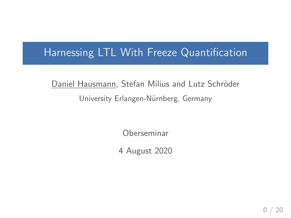### Harnessing LTL With Freeze Quantification

## Daniel Hausmann, Stefan Milius and Lutz Schröder University Erlangen-Nürnberg, Germany

Oberseminar

4 August 2020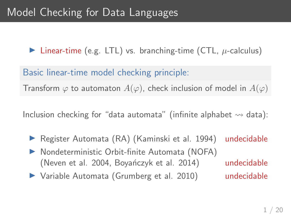Inear-time (e.g. LTL) vs. branching-time (CTL,  $\mu$ -calculus)

Basic linear-time model checking principle:

Transform  $\varphi$  to automaton  $A(\varphi)$ , check inclusion of model in  $A(\varphi)$ 

Inclusion checking for "data automata" (infinite alphabet  $\rightsquigarrow$  data):

- ▶ Register Automata (RA) (Kaminski et al. 1994) undecidable
- ▶ Nondeterministic Orbit-finite Automata (NOFA) (Neven et al. 2004, Boyanczyk et al. 2014) undecidable
- ▶ Variable Automata (Grumberg et al. 2010) undecidable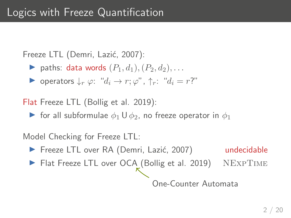Freeze LTL (Demri, Lazić, 2007):

- ightharpoonup paths: data words  $(P_1, d_1), (P_2, d_2), \ldots$
- $\triangleright$  operators  $\downarrow_r \varphi$ : " $d_i \to r; \varphi$ ", ↑r: " $d_i = r$ ?"

Flat Freeze LTL (Bollig et al. 2019):

**If** for all subformulae  $\phi_1 \cup \phi_2$ , no freeze operator in  $\phi_1$ 

Model Checking for Freeze LTL:

- ▶ Freeze LTL over RA (Demri, Lazić, 2007) undecidable
- ▶ Flat Freeze LTL over OCA (Bollig et al. 2019) NEXPTIME

One-Counter Automata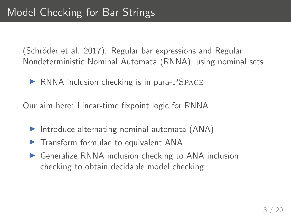(Schröder et al. 2017): Regular bar expressions and Regular Nondeterministic Nominal Automata (RNNA), using nominal sets

 $\triangleright$  RNNA inclusion checking is in para- $PSPACE$ 

Our aim here: Linear-time fixpoint logic for RNNA

- $\triangleright$  Introduce alternating nominal automata (ANA)
- $\triangleright$  Transform formulae to equivalent ANA
- $\triangleright$  Generalize RNNA inclusion checking to ANA inclusion checking to obtain decidable model checking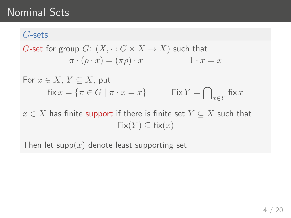## Nominal Sets

#### G-sets

G-set for group G: 
$$
(X, \cdot : G \times X \to X)
$$
 such that  
\n $\pi \cdot (\rho \cdot x) = (\pi \rho) \cdot x$  1 · x = x

For 
$$
x \in X
$$
,  $Y \subseteq X$ , put  
\n
$$
fix x = \{ \pi \in G \mid \pi \cdot x = x \}
$$
\nFix  $Y = \bigcap_{x \in Y} fix x$ 

 $x \in X$  has finite support if there is finite set  $Y \subseteq X$  such that  $Fix(Y) \subseteq fix(x)$ 

Then let supp $(x)$  denote least supporting set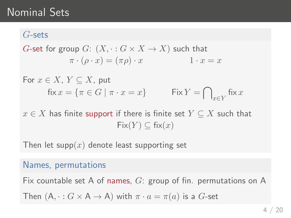## Nominal Sets

#### G-sets

$$
G\text{-set for group }G\colon\thinspace\relax (X, \cdot: G\times X\to X) \text{ such that } \newline \pi\cdot(\rho\cdot x)=(\pi\rho)\cdot x \qquad \qquad 1\cdot x=x
$$

For 
$$
x \in X
$$
,  $Y \subseteq X$ , put  
\n
$$
fix x = \{ \pi \in G \mid \pi \cdot x = x \}
$$
\nFix  $Y = \bigcap_{x \in Y} fix x$ 

 $x \in X$  has finite support if there is finite set  $Y \subseteq X$  such that  $Fix(Y) \subseteq fix(x)$ 

Then let supp $(x)$  denote least supporting set

#### Names, permutations

Fix countable set A of names,  $G$ : group of fin. permutations on A Then  $(A, \cdot : G \times A \rightarrow A)$  with  $\pi \cdot a = \pi(a)$  is a G-set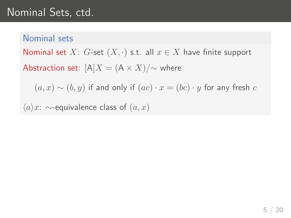# Nominal Sets, ctd.

#### Nominal sets

Nominal set X: G-set  $(X, \cdot)$  s.t. all  $x \in X$  have finite support

Abstraction set:  $[A]X = (A \times X)/\sim$  where

 $(a, x) \sim (b, y)$  if and only if  $(ac) \cdot x = (bc) \cdot y$  for any fresh c

 $\langle a \rangle x$ : ∼-equivalence class of  $(a, x)$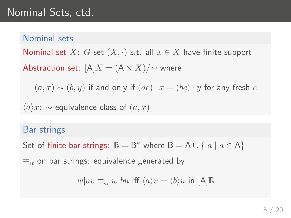# Nominal Sets, ctd.

#### Nominal sets

Nominal set X: G-set  $(X, \cdot)$  s.t. all  $x \in X$  have finite support

Abstraction set:  $[A]X = (A \times X)/\sim$  where

 $(a, x) \sim (b, y)$  if and only if  $(ac) \cdot x = (bc) \cdot y$  for any fresh c

 $\langle a \rangle x$ : ∼-equivalence class of  $(a, x)$ 

#### Bar strings

Set of finite bar strings:  $\mathbb{B} = \mathsf{B}^*$  where  $\mathsf{B} = \mathsf{A} \cup \{ |a | a \in \mathsf{A} \}$ 

 $\equiv_{\alpha}$  on bar strings: equivalence generated by

 $w|av \equiv_{\alpha} w|bu$  iff  $\langle a \rangle v = \langle b \rangle u$  in [A]B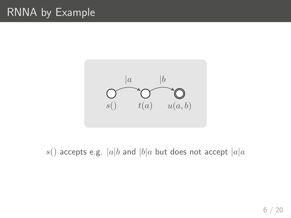# RNNA by Example



s() accepts e.g.  $|a|b$  and  $|b|a$  but does not accept  $|a|a$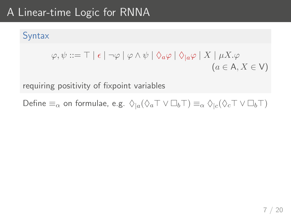# A Linear-time Logic for RNNA

#### Syntax

$$
\varphi, \psi ::= \top \mid \epsilon \mid \neg \varphi \mid \varphi \land \psi \mid \Diamond_a \varphi \mid \Diamond_{\mid a} \varphi \mid X \mid \mu X. \varphi
$$
  
(*a*  $\in$  A, *X*  $\in$  V)

requiring positivity of fixpoint variables

Define  $\equiv_\alpha$  on formulae, e.g.  $\Diamond_{|a}(\Diamond_a \top \lor \Box_b \top) \equiv_\alpha \Diamond_{|c}(\Diamond_c \top \lor \Box_b \top)$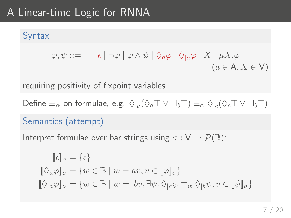# A Linear-time Logic for RNNA

#### **Syntax**

$$
\varphi, \psi ::= \top \mid \epsilon \mid \neg \varphi \mid \varphi \land \psi \mid \Diamond_a \varphi \mid \Diamond_{\mid a} \varphi \mid X \mid \mu X. \varphi
$$
  
( $a \in A, X \in V$ )

requiring positivity of fixpoint variables

Define  $\equiv_\alpha$  on formulae, e.g.  $\Diamond_{|a}(\Diamond_a \top \lor \Box_b \top) \equiv_\alpha \Diamond_{|c}(\Diamond_c \top \lor \Box_b \top)$ 

#### Semantics (attempt)

Interpret formulae over bar strings using  $\sigma : V \to \mathcal{P}(\mathbb{B})$ :

$$
\begin{aligned}\n[\![\epsilon]\!]_{\sigma} &= \{\epsilon\} \\
[\![\Diamond_a\varphi]\!]_{\sigma} &= \{w\in\mathbb{B}\mid w = av, v\in[\![\varphi]\!]_{\sigma}\} \\
[\![\Diamond_a\varphi]\!]_{\sigma} &= \{w\in\mathbb{B}\mid w = |bv, \exists\psi, \Diamond_{|a}\varphi \equiv_\alpha \Diamond_{|b}\psi, v\in[\![\psi]\!]_{\sigma}\}\n\end{aligned}
$$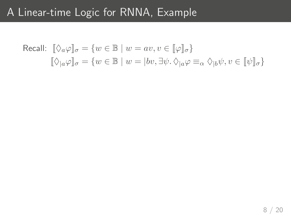## A Linear-time Logic for RNNA, Example

Recall: 
$$
\begin{aligned} \llbracket \Diamond_a \varphi \rrbracket_{\sigma} &= \{ w \in \mathbb{B} \mid w = av, v \in [\![\varphi]\!]_{\sigma} \} \\ \llbracket \Diamond_{|a} \varphi \rrbracket_{\sigma} &= \{ w \in \mathbb{B} \mid w = |bv, \exists \psi. \, \Diamond_{|a} \varphi \equiv_{\alpha} \Diamond_{|b} \psi, v \in [\![\psi]\!]_{\sigma} \} \end{aligned}
$$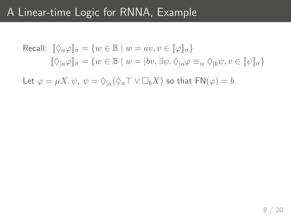## A Linear-time Logic for RNNA, Example

$$
\begin{aligned} \text{Recall: } \,\, & [\![ \Diamond_a \varphi ]\!]_\sigma = \{ w \in \mathbb{B} \mid w = av, v \in [\![ \varphi ]\!]_\sigma \} \\ & [\![ \Diamond_{|a} \varphi ]\!]_\sigma = \{ w \in \mathbb{B} \mid w = |bv, \exists \psi. \, \Diamond_{|a} \varphi \equiv_\alpha \Diamond_{|b} \psi, v \in [\![ \psi ]\!]_\sigma \} \end{aligned}
$$

Let  $\varphi = \mu X.\psi$ ,  $\psi = \Diamond_{|a}(\Diamond_a \top \lor \Box_b X)$  so that  $\mathsf{FN}(\varphi) = b$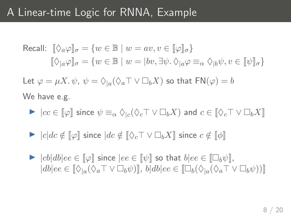## A Linear-time Logic for RNNA, Example

Recall:  $\|\Diamond_a\varphi\|_{\sigma} = \{w \in \mathbb{B} \mid w = av, v \in \|\varphi\|_{\sigma}\}\$  $[\![\Diamond_{a}\varphi]\!]_{\sigma} = \{w \in \mathbb{B} \mid w = |bv, \exists \psi \ldotp \Diamond_{a}\varphi \equiv_{\alpha} \Diamond_{b}\psi, v \in [\![\psi]\!]_{\sigma}\}$ Let  $\varphi = \mu X \cdot \psi$ ,  $\psi = \Diamond_{|a} (\Diamond_a \top \lor \Box_b X)$  so that  $FN(\varphi) = b$ 

We have e.g.

- $\blacktriangleright$   $|cc \in [\![\varphi]\!]$  since  $\psi \equiv_\alpha \Diamond_{|c}(\Diamond_c \top \lor \Box_b X)$  and  $c \in [\![\Diamond_c \top \lor \Box_b X]\!]$
- $\triangleright$   $|c|dc \notin [\![\varphi]\!]$  since  $|dc \notin [\![\Diamond_c \top \vee \Box_b X]\!]$  since  $c \notin [\![\phi]\!]$
- $\triangleright$   $|cb|db|ee \in [\varphi]$  since  $|ee \in [\psi]$  so that  $b|ee \in [\Box_b \psi]$ ,  $|db|ee \in [\Diamond_{1a}(\Diamond_a\top \vee \Box_b\psi)]$ ,  $b|db|ee \in [\Box_b(\Diamond_{1a}(\Diamond_a\top \vee \Box_b\psi))]$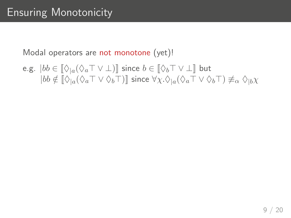$$
\begin{array}{ll}\texttt{e.g.} & \vert bb \in \llbracket \Diamond_{\vert a}(\Diamond_a \top \lor \bot) \rrbracket \text{ since } b \in \llbracket \Diamond_b \top \lor \bot \rrbracket \text{ but } \\ & \vert bb \notin \llbracket \Diamond_{\vert a}(\Diamond_a \top \lor \Diamond_b \top) \rrbracket \text{ since } \forall \chi. \Diamond_{\vert a}(\Diamond_a \top \lor \Diamond_b \top) \not\equiv_\alpha \Diamond_{\vert b} \chi \end{array}
$$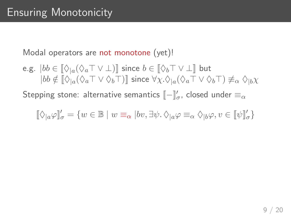$$
\begin{array}{ll}\texttt{e.g.} & \vert bb \in \llbracket \Diamond_{\vert a}(\Diamond_a \top \lor \bot) \rrbracket \text{ since } b \in \llbracket \Diamond_b \top \lor \bot \rrbracket \text{ but } \\ & \vert bb \notin \llbracket \Diamond_{\vert a}(\Diamond_a \top \lor \Diamond_b \top) \rrbracket \text{ since } \forall \chi. \Diamond_{\vert a}(\Diamond_a \top \lor \Diamond_b \top) \not\equiv_\alpha \Diamond_{\vert b} \chi \end{array}
$$

Stepping stone: alternative semantics  $[\![-\rrbracket'_\sigma$ , closed under  $\equiv_\alpha$ 

$$
[\![\lozenge_{|a}\varphi]\!]_{\sigma}'=\{w\in\mathbb{B}\mid w\equiv_{\alpha}|bv,\exists\psi.\,\lozenge_{|a}\varphi\equiv_{\alpha}\lozenge_{|b}\varphi,v\in[\![\psi]\!]_{\sigma}'\}
$$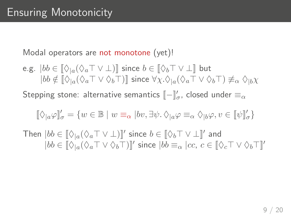$$
\begin{array}{ll}\texttt{e.g.} & \vert bb \in \llbracket \Diamond_{\vert a}(\Diamond_a \top \lor \bot) \rrbracket \text{ since } b \in \llbracket \Diamond_b \top \lor \bot \rrbracket \text{ but } \\ & \vert bb \notin \llbracket \Diamond_{\vert a}(\Diamond_a \top \lor \Diamond_b \top) \rrbracket \text{ since } \forall \chi. \Diamond_{\vert a}(\Diamond_a \top \lor \Diamond_b \top) \not\equiv_\alpha \Diamond_{\vert b} \chi \end{array}
$$

Stepping stone: alternative semantics  $[\![-\rrbracket'_\sigma$ , closed under  $\equiv_\alpha$ 

$$
[\![ \Diamond_{|a} \varphi ]\!]_{\sigma}' = \{ w \in \mathbb{B} \mid w \equiv_\alpha |bv, \exists \psi . \, \Diamond_{|a} \varphi \equiv_\alpha \Diamond_{|b} \varphi, v \in [\![ \psi ]\!]_{\sigma}' \}
$$

Then  $|bb \in [\![ \Diamond_{|a}(\Diamond_a \top \vee \bot)]\!]'$  since  $b \in [\![ \Diamond_b \top \vee \bot ]\!]'$  and  $|bb \in [\![ \Diamond_{|a} (\Diamond_a \top \vee \Diamond_b \top)]\!]'$  since  $|bb \equiv_\alpha |cc, c \in [\![ \Diamond_c \top \vee \Diamond_b \top ]\!]'$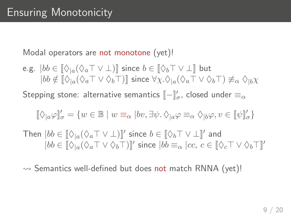$$
\begin{array}{ll}\texttt{e.g.} & \vert bb \in \llbracket \Diamond_{\vert a}(\Diamond_a \top \lor \bot) \rrbracket \text{ since } b \in \llbracket \Diamond_b \top \lor \bot \rrbracket \text{ but } \\ & \vert bb \notin \llbracket \Diamond_{\vert a}(\Diamond_a \top \lor \Diamond_b \top) \rrbracket \text{ since } \forall \chi. \Diamond_{\vert a}(\Diamond_a \top \lor \Diamond_b \top) \not\equiv_\alpha \Diamond_{\vert b} \chi \end{array}
$$

Stepping stone: alternative semantics  $[\![-\rrbracket'_\sigma$ , closed under  $\equiv_\alpha$ 

$$
[\![ \Diamond_{|a} \varphi ]\!]_{\sigma}' = \{ w \in \mathbb{B} \mid w \equiv_\alpha |bv, \exists \psi . \, \Diamond_{|a} \varphi \equiv_\alpha \Diamond_{|b} \varphi, v \in [\![ \psi ]\!]_{\sigma}' \}
$$

Then  $|bb \in [\![ \Diamond_{|a}(\Diamond_a \top \vee \bot)]\!]'$  since  $b \in [\![ \Diamond_b \top \vee \bot ]\!]'$  and  $|bb \in [\![ \Diamond_{|a} (\Diamond_a \top \vee \Diamond_b \top)]\!]'$  since  $|bb \equiv_\alpha |cc, c \in [\![ \Diamond_c \top \vee \Diamond_b \top ]\!]'$ 

 $\rightsquigarrow$  Semantics well-defined but does not match RNNA (yet)!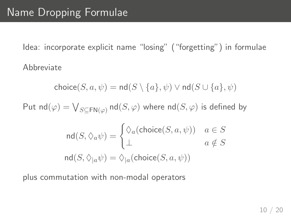Idea: incorporate explicit name "losing" ("forgetting") in formulae Abbreviate

$$
\mathsf{choice}(S,a,\psi) = \mathsf{nd}(S \setminus \{a\},\psi) \vee \mathsf{nd}(S \cup \{a\},\psi)
$$

 ${\sf Put} \; {\sf nd}(\varphi) = \bigvee_{S \subseteq {\sf FN}(\varphi)} {\sf nd}(S, \varphi)$  where  ${\sf nd}(S, \varphi)$  is defined by

$$
\mathrm{nd}(S, \Diamond_a \psi) = \begin{cases} \Diamond_a(\mathrm{choice}(S, a, \psi)) & a \in S \\ \bot & a \notin S \end{cases}
$$

$$
\mathrm{nd}(S, \Diamond_a \psi) = \Diamond_a(\mathrm{choice}(S, a, \psi))
$$

plus commutation with non-modal operators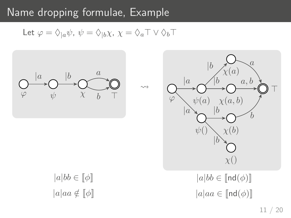## Name dropping formulae, Example

Let  $\varphi = \Diamond_{|a} \psi$ ,  $\psi = \Diamond_{|b} \chi$ ,  $\chi = \Diamond_a \top \lor \Diamond_b \top$ 

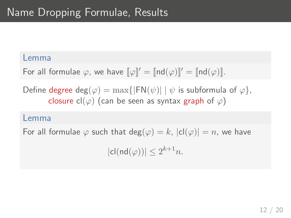#### Lemma

For all formulae  $\varphi$ , we have  $\llbracket \varphi \rrbracket' = \llbracket \text{nd}(\varphi) \rrbracket' = \llbracket \text{nd}(\varphi) \rrbracket$ .

Define degree deg( $\varphi$ ) = max{|FN( $\psi$ )| |  $\psi$  is subformula of  $\varphi$ }, closure cl( $\varphi$ ) (can be seen as syntax graph of  $\varphi$ )

#### Lemma

For all formulae  $\varphi$  such that  $deg(\varphi) = k$ ,  $|cl(\varphi)| = n$ , we have

 $|cl(nd(\varphi))| \leq 2^{k+1}n$ .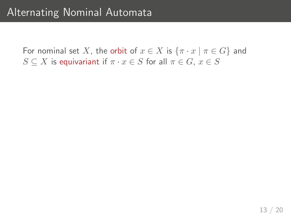For nominal set X, the orbit of  $x \in X$  is  $\{\pi \cdot x \mid \pi \in G\}$  and  $S \subseteq X$  is equivariant if  $\pi \cdot x \in S$  for all  $\pi \in G$ ,  $x \in S$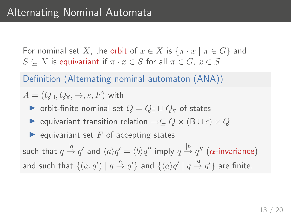For nominal set X, the orbit of  $x \in X$  is  $\{\pi \cdot x \mid \pi \in G\}$  and  $S \subseteq X$  is equivariant if  $\pi \cdot x \in S$  for all  $\pi \in G$ ,  $x \in S$ 

Definition (Alternating nominal automaton (ANA))

 $A = (Q_{\exists}, Q_{\forall}, \rightarrow, s, F)$  with

- $\triangleright$  orbit-finite nominal set  $Q = Q$   $\sqcup Q$  of states
- $\triangleright$  equivariant transition relation  $\rightarrow \subseteq Q \times (B \cup \epsilon) \times Q$
- $\blacktriangleright$  equivariant set F of accepting states

such that  $q\stackrel{|a}{\rightarrow} q'$  and  $\langle a\rangle q'=\langle b\rangle q''$  imply  $q\stackrel{|b}{\rightarrow} q''$  ( $\alpha$ -invariance) and such that  $\{(a,q')\mid q\stackrel{a}{\rightarrow}q'\}$  and  $\{\langle a\rangle q'\mid q\stackrel{|a}{\rightarrow}q'\}$  are finite.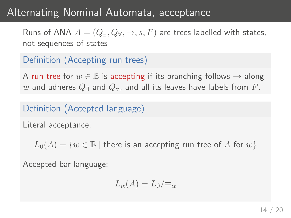### Alternating Nominal Automata, acceptance

Runs of ANA  $A = (Q_{\exists}, Q_{\forall}, \rightarrow, s, F)$  are trees labelled with states, not sequences of states

#### Definition (Accepting run trees)

A run tree for  $w \in \mathbb{B}$  is accepting if its branching follows  $\rightarrow$  along w and adheres  $Q$ <sub>∃</sub> and  $Q_{\forall}$ , and all its leaves have labels from F.

#### Definition (Accepted language)

Literal acceptance:

 $L_0(A) = \{w \in \mathbb{B} \mid \text{there is an accepting run tree of } A \text{ for } w\}$ 

Accepted bar language:

$$
L_{\alpha}(A) = L_0 / \equiv_{\alpha}
$$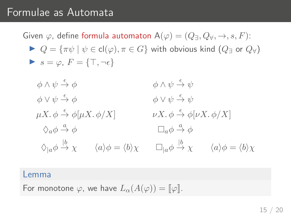#### Formulae as Automata

Given  $\varphi$ , define formula automaton  $A(\varphi) = (Q_{\exists}, Q_{\forall}, \rightarrow, s, F)$ :  $\triangleright Q = {\pi \psi \mid \psi \in cl(\varphi), \pi \in G}$  with obvious kind  $(Q_{\exists}$  or  $Q_{\forall}$ )  $s = \varphi$ ,  $F = \{\top, \neg \epsilon\}$ 

$$
\begin{array}{llll}\n\phi \wedge \psi \xrightarrow{\epsilon} \phi & \phi \wedge \psi \xrightarrow{\epsilon} \psi \\
\phi \vee \psi \xrightarrow{\epsilon} \phi & \phi \vee \psi \xrightarrow{\epsilon} \psi \\
\mu X. \phi \xrightarrow{\epsilon} \phi [\mu X. \phi / X] & \nu X. \phi \xrightarrow{\epsilon} \phi [\nu X. \phi / X] \\
\Diamond_a \phi \xrightarrow{a} \phi & \Box_a \phi \xrightarrow{a} \phi \\
\Diamond_{|a} \phi \xrightarrow{b} \chi & \langle a \rangle \phi = \langle b \rangle \chi & \Box_{|a} \phi \xrightarrow{b} \chi & \langle a \rangle \phi = \langle b \rangle \chi\n\end{array}
$$

#### Lemma

For monotone  $\varphi$ , we have  $L_{\alpha}(A(\varphi)) = [\varphi]$ .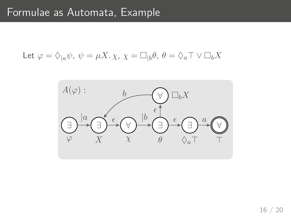Let 
$$
\varphi = \Diamond_{|a} \psi
$$
,  $\psi = \mu X$ .  $\chi$ ,  $\chi = \Box_{|b} \theta$ ,  $\theta = \Diamond_a \top \lor \Box_b X$ 

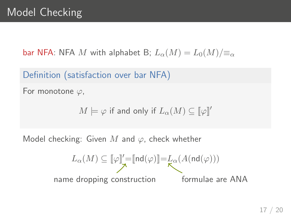bar NFA: NFA M with alphabet B;  $L_{\alpha}(M) = L_0(M)/\equiv_{\alpha}$ 

Definition (satisfaction over bar NFA)

For monotone  $\varphi$ ,

$$
M \models \varphi \text{ if and only if } L_{\alpha}(M) \subseteq \llbracket \varphi \rrbracket'
$$

Model checking: Given  $M$  and  $\varphi$ , check whether

$$
L_{\alpha}(M) \subseteq \llbracket \varphi \rrbracket' = \llbracket \mathsf{nd}(\varphi) \rrbracket = L_{\alpha}(A(\mathsf{nd}(\varphi)))
$$
  
name dropping construction  
formulae are ANA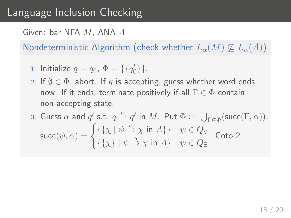## Language Inclusion Checking

Given: bar NFA M, ANA A

Nondeterministic Algorithm (check whether  $L_{\alpha}(M) \nsubseteq L_{\alpha}(A)$ )

- 1 Initialize  $q = q_0, \Phi = \{\{q'_0\}\}.$
- 2 If  $\emptyset \in \Phi$ , abort. If q is accepting, guess whether word ends now. If it ends, terminate positively if all  $\Gamma \in \Phi$  contain non-accepting state.

3 Guess 
$$
\alpha
$$
 and  $q'$  s.t.  $q \stackrel{\alpha}{\rightarrow} q'$  in  $M$ . Put  $\Phi := \bigcup_{\Gamma \in \Phi} (\text{succ}(\Gamma, \alpha)),$   
\n
$$
\text{succ}(\psi, \alpha) = \begin{cases} \{\{\chi \mid \psi \stackrel{\alpha}{\rightarrow} \chi \text{ in } A\} \} & \psi \in Q_{\forall} \\ \{\{\chi\} \mid \psi \stackrel{\alpha}{\rightarrow} \chi \text{ in } A\} & \psi \in Q_{\exists} \end{cases}
$$
. Goto 2.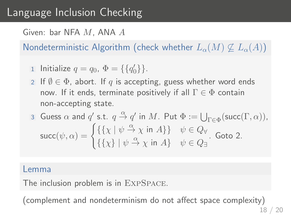## Language Inclusion Checking

Given: bar NFA M, ANA A

Nondeterministic Algorithm (check whether  $L_{\alpha}(M) \nsubseteq L_{\alpha}(A)$ )

$$
1 \text{ Initialize } q = q_0, \ \Phi = \{\{q'_0\}\}.
$$

2 If  $\emptyset \in \Phi$ , abort. If q is accepting, guess whether word ends now. If it ends, terminate positively if all  $\Gamma \in \Phi$  contain non-accepting state.

3 Guess 
$$
\alpha
$$
 and  $q'$  s.t.  $q \stackrel{\alpha}{\rightarrow} q'$  in  $M$ . Put  $\Phi := \bigcup_{\Gamma \in \Phi} (\text{succ}(\Gamma, \alpha)),$   
\nsucc $(\psi, \alpha) = \begin{cases} \{\{\chi \mid \psi \stackrel{\alpha}{\rightarrow} \chi \text{ in } A\} \} & \psi \in Q_{\forall} \\ \{\{\chi\} \mid \psi \stackrel{\alpha}{\rightarrow} \chi \text{ in } A\} & \psi \in Q_{\exists} \end{cases}$ . Goto 2.

#### Lemma

The inclusion problem is in ExpSpace.

(complement and nondeterminism do not affect space complexity)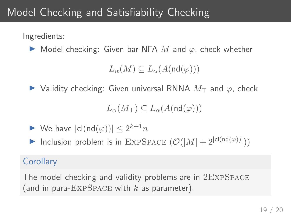# Model Checking and Satisfiability Checking

Ingredients:

 $\triangleright$  Model checking: Given bar NFA M and  $\varphi$ , check whether

 $L_{\alpha}(M) \subseteq L_{\alpha}(A(\text{nd}(\varphi)))$ 

 $\triangleright$  Validity checking: Given universal RNNA  $M<sub>T</sub>$  and  $\varphi$ , check

$$
L_{\alpha}(M_{\top})\subseteq L_{\alpha}(A(\mathsf{nd}(\varphi)))
$$

 $\blacktriangleright$  We have  $|cl(nd(\varphi))| \leq 2^{k+1}n$ 

Inclusion problem is in EXPSPACE  $(\mathcal{O}(|M| + 2^{|cl(nd(\varphi))|}))$ 

#### **Corollary**

The model checking and validity problems are in 2ExpSpace (and in para- $\text{EXPSPACE}$  with k as parameter).